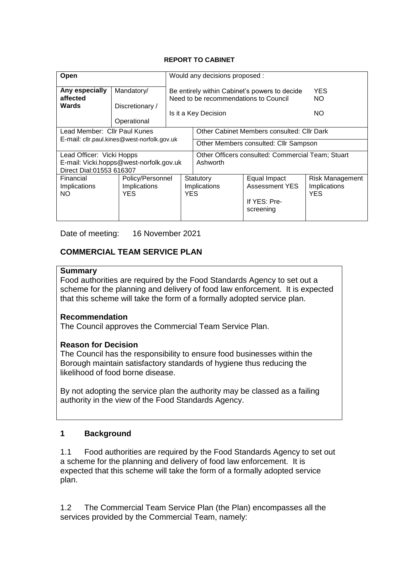#### **REPORT TO CABINET**

| Open                                                                                             |                                              | Would any decisions proposed :                              |                                                                                                                |                                                                    |                                                      |  |  |
|--------------------------------------------------------------------------------------------------|----------------------------------------------|-------------------------------------------------------------|----------------------------------------------------------------------------------------------------------------|--------------------------------------------------------------------|------------------------------------------------------|--|--|
| Any especially<br>affected<br>Wards                                                              | Mandatory/<br>Discretionary /<br>Operational |                                                             | Be entirely within Cabinet's powers to decide<br>Need to be recommendations to Council<br>Is it a Key Decision | YES<br>NO.<br>NO.                                                  |                                                      |  |  |
| Lead Member: Cllr Paul Kunes<br>E-mail: cllr.paul.kines@west-norfolk.gov.uk                      |                                              |                                                             | Other Cabinet Members consulted: Cllr Dark<br>Other Members consulted: Cllr Sampson                            |                                                                    |                                                      |  |  |
| Lead Officer: Vicki Hopps<br>E-mail: Vicki.hopps@west-norfolk.gov.uk<br>Direct Dial:01553 616307 |                                              |                                                             | Other Officers consulted: Commercial Team; Stuart<br>Ashworth                                                  |                                                                    |                                                      |  |  |
| Financial<br>Implications<br><b>NO</b>                                                           | Implications<br><b>YES</b>                   | Policy/Personnel<br>Statutory<br>Implications<br><b>YES</b> |                                                                                                                | Equal Impact<br><b>Assessment YES</b><br>If YES: Pre-<br>screening | <b>Risk Management</b><br>Implications<br><b>YES</b> |  |  |

Date of meeting: 16 November 2021

### **COMMERCIAL TEAM SERVICE PLAN**

#### **Summary**

Food authorities are required by the Food Standards Agency to set out a scheme for the planning and delivery of food law enforcement. It is expected that this scheme will take the form of a formally adopted service plan.

#### **Recommendation**

The Council approves the Commercial Team Service Plan.

#### **Reason for Decision**

The Council has the responsibility to ensure food businesses within the Borough maintain satisfactory standards of hygiene thus reducing the likelihood of food borne disease.

By not adopting the service plan the authority may be classed as a failing authority in the view of the Food Standards Agency.

#### **1 Background**

1.1 Food authorities are required by the Food Standards Agency to set out a scheme for the planning and delivery of food law enforcement. It is expected that this scheme will take the form of a formally adopted service plan.

1.2 The Commercial Team Service Plan (the Plan) encompasses all the services provided by the Commercial Team, namely: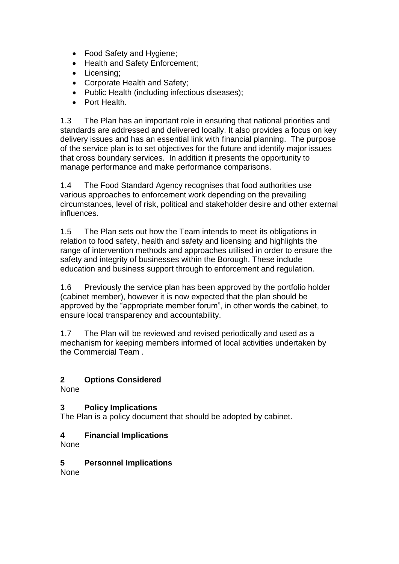- Food Safety and Hygiene;
- Health and Safety Enforcement:
- Licensing;
- Corporate Health and Safety;
- Public Health (including infectious diseases);
- **•** Port Health

1.3 The Plan has an important role in ensuring that national priorities and standards are addressed and delivered locally. It also provides a focus on key delivery issues and has an essential link with financial planning. The purpose of the service plan is to set objectives for the future and identify major issues that cross boundary services. In addition it presents the opportunity to manage performance and make performance comparisons.

1.4 The Food Standard Agency recognises that food authorities use various approaches to enforcement work depending on the prevailing circumstances, level of risk, political and stakeholder desire and other external influences.

1.5 The Plan sets out how the Team intends to meet its obligations in relation to food safety, health and safety and licensing and highlights the range of intervention methods and approaches utilised in order to ensure the safety and integrity of businesses within the Borough. These include education and business support through to enforcement and regulation.

1.6 Previously the service plan has been approved by the portfolio holder (cabinet member), however it is now expected that the plan should be approved by the "appropriate member forum", in other words the cabinet, to ensure local transparency and accountability.

1.7 The Plan will be reviewed and revised periodically and used as a mechanism for keeping members informed of local activities undertaken by the Commercial Team .

# **2 Options Considered**

**None** 

## **3 Policy Implications**

The Plan is a policy document that should be adopted by cabinet.

## **4 Financial Implications**

None

**5 Personnel Implications**

None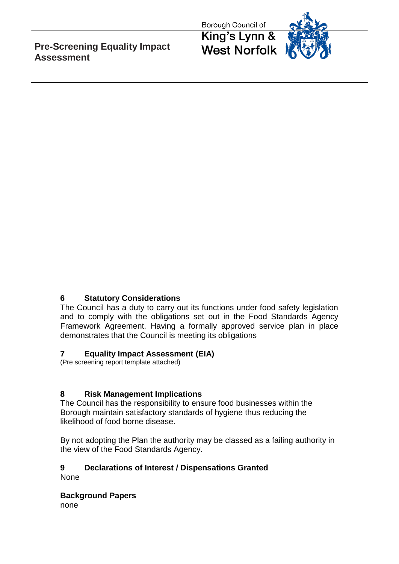**Pre-Screening Equality Impact Assessment**

Borough Council of

King's Lynn & **West Norfolk** 



# **6 Statutory Considerations**

The Council has a duty to carry out its functions under food safety legislation and to comply with the obligations set out in the Food Standards Agency Framework Agreement. Having a formally approved service plan in place demonstrates that the Council is meeting its obligations

## **7 Equality Impact Assessment (EIA)**

(Pre screening report template attached)

## **8 Risk Management Implications**

The Council has the responsibility to ensure food businesses within the Borough maintain satisfactory standards of hygiene thus reducing the likelihood of food borne disease.

By not adopting the Plan the authority may be classed as a failing authority in the view of the Food Standards Agency.

# **9 Declarations of Interest / Dispensations Granted**

None

**Background Papers** none